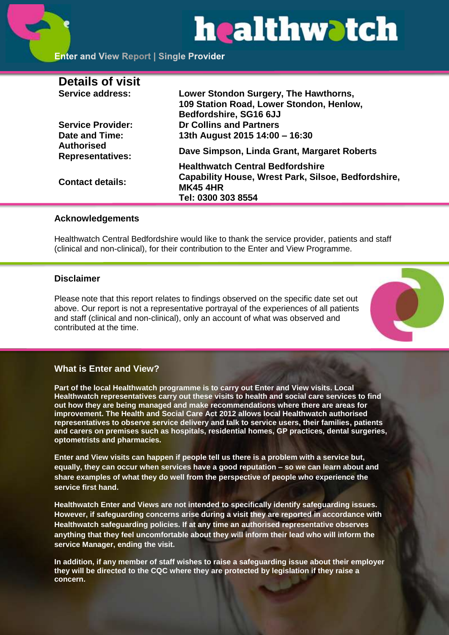# healthwatch

# **Enter and View Report | Single Provider**

| <b>Details of visit</b>                      |                                                                               |
|----------------------------------------------|-------------------------------------------------------------------------------|
| Service address:                             | Lower Stondon Surgery, The Hawthorns,                                         |
|                                              | 109 Station Road, Lower Stondon, Henlow,                                      |
|                                              | Bedfordshire, SG16 6JJ                                                        |
| <b>Service Provider:</b>                     | <b>Dr Collins and Partners</b>                                                |
| Date and Time:                               | 13th August 2015 14:00 - 16:30                                                |
| <b>Authorised</b><br><b>Representatives:</b> | Dave Simpson, Linda Grant, Margaret Roberts                                   |
|                                              | <b>Healthwatch Central Bedfordshire</b>                                       |
| <b>Contact details:</b>                      | <b>Capability House, Wrest Park, Silsoe, Bedfordshire,</b><br><b>MK45 4HR</b> |
|                                              | Tel: 0300 303 8554                                                            |

# **Acknowledgements**

Healthwatch Central Bedfordshire would like to thank the service provider, patients and staff (clinical and non-clinical), for their contribution to the Enter and View Programme.

# **Disclaimer**

Please note that this report relates to findings observed on the specific date set out above. Our report is not a representative portrayal of the experiences of all patients and staff (clinical and non-clinical), only an account of what was observed and contributed at the time.



# **What is Enter and View?**

**Part of the local Healthwatch programme is to carry out Enter and View visits. Local Healthwatch representatives carry out these visits to health and social care services to find out how they are being managed and make recommendations where there are areas for improvement. The Health and Social Care Act 2012 allows local Healthwatch authorised representatives to observe service delivery and talk to service users, their families, patients and carers on premises such as hospitals, residential homes, GP practices, dental surgeries, optometrists and pharmacies.** 

**Enter and View visits can happen if people tell us there is a problem with a service but, equally, they can occur when services have a good reputation – so we can learn about and share examples of what they do well from the perspective of people who experience the service first hand.**

**Healthwatch Enter and Views are not intended to specifically identify safeguarding issues. However, if safeguarding concerns arise during a visit they are reported in accordance with Healthwatch safeguarding policies. If at any time an authorised representative observes anything that they feel uncomfortable about they will inform their lead who will inform the service Manager, ending the visit.** 

**In addition, if any member of staff wishes to raise a safeguarding issue about their employer they will be directed to the CQC where they are protected by legislation if they raise a concern.**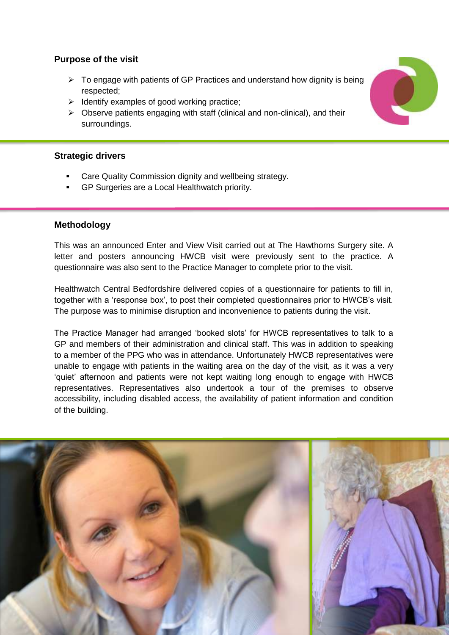# **Purpose of the visit**

- $\triangleright$  To engage with patients of GP Practices and understand how dignity is being respected;
- $\triangleright$  Identify examples of good working practice;
- $\triangleright$  Observe patients engaging with staff (clinical and non-clinical), and their surroundings.

# **Strategic drivers**

- Care Quality Commission dignity and wellbeing strategy.
- GP Surgeries are a Local Healthwatch priority.

# **Methodology**

This was an announced Enter and View Visit carried out at The Hawthorns Surgery site. A letter and posters announcing HWCB visit were previously sent to the practice. A questionnaire was also sent to the Practice Manager to complete prior to the visit.

Healthwatch Central Bedfordshire delivered copies of a questionnaire for patients to fill in, together with a 'response box', to post their completed questionnaires prior to HWCB's visit. The purpose was to minimise disruption and inconvenience to patients during the visit.

The Practice Manager had arranged 'booked slots' for HWCB representatives to talk to a GP and members of their administration and clinical staff. This was in addition to speaking to a member of the PPG who was in attendance. Unfortunately HWCB representatives were unable to engage with patients in the waiting area on the day of the visit, as it was a very 'quiet' afternoon and patients were not kept waiting long enough to engage with HWCB representatives. Representatives also undertook a tour of the premises to observe accessibility, including disabled access, the availability of patient information and condition of the building.



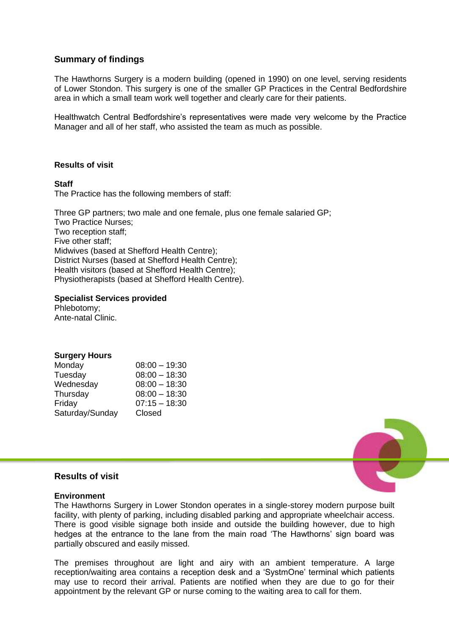# **Summary of findings**

The Hawthorns Surgery is a modern building (opened in 1990) on one level, serving residents of Lower Stondon. This surgery is one of the smaller GP Practices in the Central Bedfordshire area in which a small team work well together and clearly care for their patients.

Healthwatch Central Bedfordshire's representatives were made very welcome by the Practice Manager and all of her staff, who assisted the team as much as possible.

# **Results of visit**

#### **Staff**

The Practice has the following members of staff:

 Three GP partners; two male and one female, plus one female salaried GP; Two Practice Nurses; Two reception staff; Five other staff; Midwives (based at Shefford Health Centre); District Nurses (based at Shefford Health Centre); Health visitors (based at Shefford Health Centre); Physiotherapists (based at Shefford Health Centre).

# **Specialist Services provided**

 Phlebotomy; Ante-natal Clinic.

# **Surgery Hours**

| Monday          | $08:00 - 19:30$ |
|-----------------|-----------------|
| Tuesday         | $08:00 - 18:30$ |
| Wednesday       | $08:00 - 18:30$ |
| Thursday        | $08:00 - 18:30$ |
| Friday          | $07:15 - 18:30$ |
| Saturday/Sunday | Closed          |



#### **Results of visit**

#### **Environment**

The Hawthorns Surgery in Lower Stondon operates in a single-storey modern purpose built facility, with plenty of parking, including disabled parking and appropriate wheelchair access. There is good visible signage both inside and outside the building however, due to high hedges at the entrance to the lane from the main road 'The Hawthorns' sign board was partially obscured and easily missed.

The premises throughout are light and airy with an ambient temperature. A large reception/waiting area contains a reception desk and a 'SystmOne' terminal which patients may use to record their arrival. Patients are notified when they are due to go for their appointment by the relevant GP or nurse coming to the waiting area to call for them.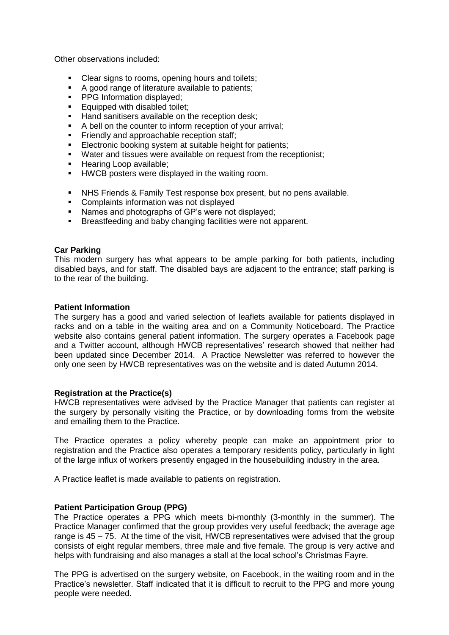Other observations included:

- Clear signs to rooms, opening hours and toilets;
- A good range of literature available to patients;
- **PPG** Information displayed;
- **Equipped with disabled toilet;**
- Hand sanitisers available on the reception desk:
- A bell on the counter to inform reception of your arrival;
- Friendly and approachable reception staff;
- **Electronic booking system at suitable height for patients;**
- **Water and tissues were available on request from the receptionist:**
- **Hearing Loop available;**
- **HWCB** posters were displayed in the waiting room.
- NHS Friends & Family Test response box present, but no pens available.
- **•** Complaints information was not displayed
- Names and photographs of GP's were not displayed;
- **Breastfeeding and baby changing facilities were not apparent.**

#### **Car Parking**

This modern surgery has what appears to be ample parking for both patients, including disabled bays, and for staff. The disabled bays are adjacent to the entrance; staff parking is to the rear of the building.

#### **Patient Information**

The surgery has a good and varied selection of leaflets available for patients displayed in racks and on a table in the waiting area and on a Community Noticeboard. The Practice website also contains general patient information. The surgery operates a Facebook page and a Twitter account, although HWCB representatives' research showed that neither had been updated since December 2014. A Practice Newsletter was referred to however the only one seen by HWCB representatives was on the website and is dated Autumn 2014.

#### **Registration at the Practice(s)**

HWCB representatives were advised by the Practice Manager that patients can register at the surgery by personally visiting the Practice, or by downloading forms from the website and emailing them to the Practice.

The Practice operates a policy whereby people can make an appointment prior to registration and the Practice also operates a temporary residents policy, particularly in light of the large influx of workers presently engaged in the housebuilding industry in the area.

A Practice leaflet is made available to patients on registration.

# **Patient Participation Group (PPG)**

The Practice operates a PPG which meets bi-monthly (3-monthly in the summer). The Practice Manager confirmed that the group provides very useful feedback; the average age range is 45 – 75. At the time of the visit, HWCB representatives were advised that the group consists of eight regular members, three male and five female. The group is very active and helps with fundraising and also manages a stall at the local school's Christmas Fayre.

The PPG is advertised on the surgery website, on Facebook, in the waiting room and in the Practice's newsletter. Staff indicated that it is difficult to recruit to the PPG and more young people were needed.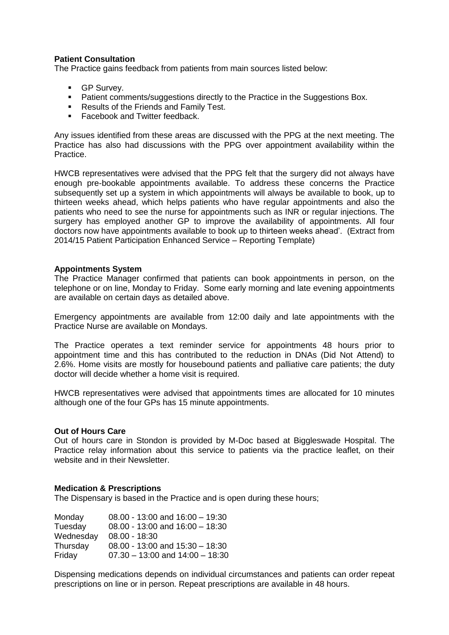#### **Patient Consultation**

The Practice gains feedback from patients from main sources listed below:

- **GP Survey.**
- **Patient comments/suggestions directly to the Practice in the Suggestions Box.**
- **Results of the Friends and Family Test.**
- Facebook and Twitter feedback.

Any issues identified from these areas are discussed with the PPG at the next meeting. The Practice has also had discussions with the PPG over appointment availability within the Practice.

HWCB representatives were advised that the PPG felt that the surgery did not always have enough pre-bookable appointments available. To address these concerns the Practice subsequently set up a system in which appointments will always be available to book, up to thirteen weeks ahead, which helps patients who have regular appointments and also the patients who need to see the nurse for appointments such as INR or regular injections. The surgery has employed another GP to improve the availability of appointments. All four doctors now have appointments available to book up to thirteen weeks ahead'. (Extract from 2014/15 Patient Participation Enhanced Service – Reporting Template)

#### **Appointments System**

The Practice Manager confirmed that patients can book appointments in person, on the telephone or on line, Monday to Friday. Some early morning and late evening appointments are available on certain days as detailed above.

Emergency appointments are available from 12:00 daily and late appointments with the Practice Nurse are available on Mondays.

The Practice operates a text reminder service for appointments 48 hours prior to appointment time and this has contributed to the reduction in DNAs (Did Not Attend) to 2.6%. Home visits are mostly for housebound patients and palliative care patients; the duty doctor will decide whether a home visit is required.

HWCB representatives were advised that appointments times are allocated for 10 minutes although one of the four GPs has 15 minute appointments.

#### **Out of Hours Care**

Out of hours care in Stondon is provided by M-Doc based at Biggleswade Hospital. The Practice relay information about this service to patients via the practice leaflet, on their website and in their Newsletter

#### **Medication & Prescriptions**

The Dispensary is based in the Practice and is open during these hours;

| Monday    | $08.00 - 13.00$ and $16.00 - 19.30$ |
|-----------|-------------------------------------|
| Tuesday   | $08.00 - 13:00$ and $16:00 - 18:30$ |
| Wednesday | $08.00 - 18:30$                     |
| Thursday  | $08.00 - 13:00$ and $15:30 - 18:30$ |
| Friday    | $07.30 - 13:00$ and $14:00 - 18:30$ |

Dispensing medications depends on individual circumstances and patients can order repeat prescriptions on line or in person. Repeat prescriptions are available in 48 hours.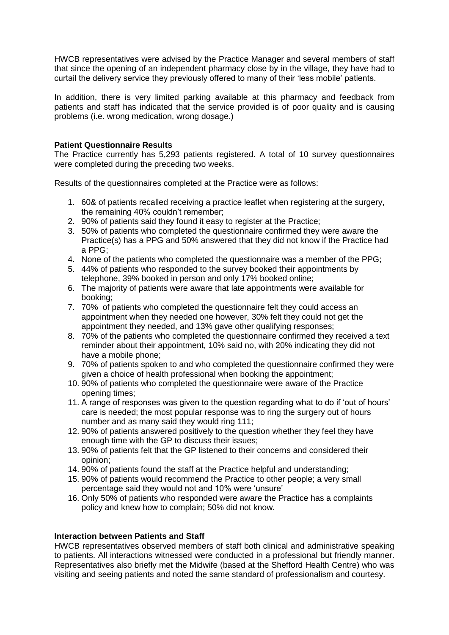HWCB representatives were advised by the Practice Manager and several members of staff that since the opening of an independent pharmacy close by in the village, they have had to curtail the delivery service they previously offered to many of their 'less mobile' patients.

In addition, there is very limited parking available at this pharmacy and feedback from patients and staff has indicated that the service provided is of poor quality and is causing problems (i.e. wrong medication, wrong dosage.)

# **Patient Questionnaire Results**

The Practice currently has 5,293 patients registered. A total of 10 survey questionnaires were completed during the preceding two weeks.

Results of the questionnaires completed at the Practice were as follows:

- 1. 60& of patients recalled receiving a practice leaflet when registering at the surgery, the remaining 40% couldn't remember;
- 2. 90% of patients said they found it easy to register at the Practice;
- 3. 50% of patients who completed the questionnaire confirmed they were aware the Practice(s) has a PPG and 50% answered that they did not know if the Practice had a PPG;
- 4. None of the patients who completed the questionnaire was a member of the PPG;
- 5. 44% of patients who responded to the survey booked their appointments by telephone, 39% booked in person and only 17% booked online;
- 6. The majority of patients were aware that late appointments were available for booking;
- 7. 70% of patients who completed the questionnaire felt they could access an appointment when they needed one however, 30% felt they could not get the appointment they needed, and 13% gave other qualifying responses;
- 8. 70% of the patients who completed the questionnaire confirmed they received a text reminder about their appointment, 10% said no, with 20% indicating they did not have a mobile phone;
- 9. 70% of patients spoken to and who completed the questionnaire confirmed they were given a choice of health professional when booking the appointment;
- 10. 90% of patients who completed the questionnaire were aware of the Practice opening times;
- 11. A range of responses was given to the question regarding what to do if 'out of hours' care is needed; the most popular response was to ring the surgery out of hours number and as many said they would ring 111;
- 12. 90% of patients answered positively to the question whether they feel they have enough time with the GP to discuss their issues;
- 13. 90% of patients felt that the GP listened to their concerns and considered their opinion;
- 14. 90% of patients found the staff at the Practice helpful and understanding;
- 15. 90% of patients would recommend the Practice to other people; a very small percentage said they would not and 10% were 'unsure'
- 16. Only 50% of patients who responded were aware the Practice has a complaints policy and knew how to complain; 50% did not know.

# **Interaction between Patients and Staff**

HWCB representatives observed members of staff both clinical and administrative speaking to patients. All interactions witnessed were conducted in a professional but friendly manner. Representatives also briefly met the Midwife (based at the Shefford Health Centre) who was visiting and seeing patients and noted the same standard of professionalism and courtesy.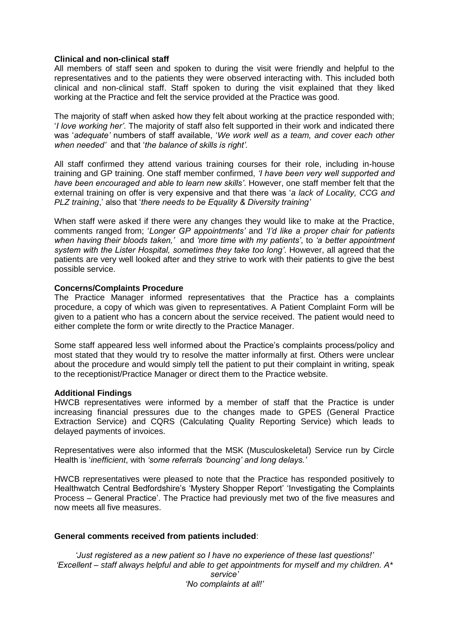#### **Clinical and non-clinical staff**

All members of staff seen and spoken to during the visit were friendly and helpful to the representatives and to the patients they were observed interacting with. This included both clinical and non-clinical staff. Staff spoken to during the visit explained that they liked working at the Practice and felt the service provided at the Practice was good.

The majority of staff when asked how they felt about working at the practice responded with; '*I love working her'*. The majority of staff also felt supported in their work and indicated there was '*adequate'* numbers of staff available, '*We work well as a team, and cover each other when needed'* and that '*the balance of skills is right'.*

All staff confirmed they attend various training courses for their role, including in-house training and GP training. One staff member confirmed, *'I have been very well supported and have been encouraged and able to learn new skills'*. However, one staff member felt that the external training on offer is very expensive and that there was '*a lack of Locality, CCG and PLZ training*,' also that '*there needs to be Equality & Diversity training'*

When staff were asked if there were any changes they would like to make at the Practice, comments ranged from; '*Longer GP appointments'* and *'I'd like a proper chair for patients when having their bloods taken,'* and *'more time with my patients'*, to *'a better appointment system with the Lister Hospital, sometimes they take too long'*. However, all agreed that the patients are very well looked after and they strive to work with their patients to give the best possible service.

#### **Concerns/Complaints Procedure**

The Practice Manager informed representatives that the Practice has a complaints procedure, a copy of which was given to representatives. A Patient Complaint Form will be given to a patient who has a concern about the service received. The patient would need to either complete the form or write directly to the Practice Manager.

Some staff appeared less well informed about the Practice's complaints process/policy and most stated that they would try to resolve the matter informally at first. Others were unclear about the procedure and would simply tell the patient to put their complaint in writing, speak to the receptionist/Practice Manager or direct them to the Practice website.

#### **Additional Findings**

HWCB representatives were informed by a member of staff that the Practice is under increasing financial pressures due to the changes made to GPES (General Practice Extraction Service) and CQRS (Calculating Quality Reporting Service) which leads to delayed payments of invoices.

Representatives were also informed that the MSK (Musculoskeletal) Service run by Circle Health is '*inefficient*, with *'some referrals 'bouncing' and long delays.'*

HWCB representatives were pleased to note that the Practice has responded positively to Healthwatch Central Bedfordshire's 'Mystery Shopper Report' 'Investigating the Complaints Process – General Practice'. The Practice had previously met two of the five measures and now meets all five measures.

# **General comments received from patients included**:

*'Just registered as a new patient so I have no experience of these last questions!' 'Excellent – staff always helpful and able to get appointments for myself and my children. A\* service'*

*'No complaints at all!'*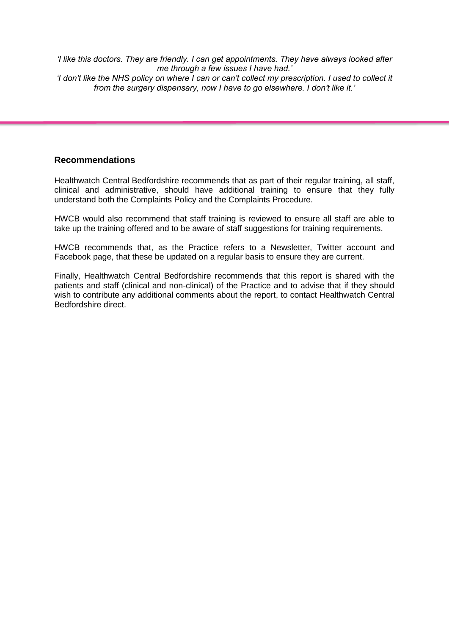*'I like this doctors. They are friendly. I can get appointments. They have always looked after me through a few issues I have had.' 'I don't like the NHS policy on where I can or can't collect my prescription. I used to collect it from the surgery dispensary, now I have to go elsewhere. I don't like it.'*

# **Recommendations**

Healthwatch Central Bedfordshire recommends that as part of their regular training, all staff, clinical and administrative, should have additional training to ensure that they fully understand both the Complaints Policy and the Complaints Procedure.

HWCB would also recommend that staff training is reviewed to ensure all staff are able to take up the training offered and to be aware of staff suggestions for training requirements.

HWCB recommends that, as the Practice refers to a Newsletter, Twitter account and Facebook page, that these be updated on a regular basis to ensure they are current.

Finally, Healthwatch Central Bedfordshire recommends that this report is shared with the patients and staff (clinical and non-clinical) of the Practice and to advise that if they should wish to contribute any additional comments about the report, to contact Healthwatch Central Bedfordshire direct.